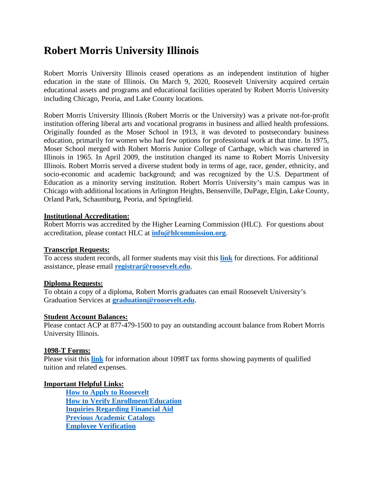# **Robert Morris University Illinois**

Robert Morris University Illinois ceased operations as an independent institution of higher education in the state of Illinois. On March 9, 2020, Roosevelt University acquired certain educational assets and programs and educational facilities operated by Robert Morris University including Chicago, Peoria, and Lake County locations.

Robert Morris University Illinois (Robert Morris or the University) was a private not-for-profit institution offering liberal arts and vocational programs in business and allied health professions. Originally founded as the Moser School in 1913, it was devoted to postsecondary business education, primarily for women who had few options for professional work at that time. In 1975, Moser School merged with Robert Morris Junior College of Carthage, which was chartered in Illinois in 1965. In April 2009, the institution changed its name to Robert Morris University Illinois. Robert Morris served a diverse student body in terms of age, race, gender, ethnicity, and socio-economic and academic background; and was recognized by the U.S. Department of Education as a minority serving institution. Robert Morris University's main campus was in Chicago with additional locations in Arlington Heights, Bensenville, DuPage, Elgin, Lake County, Orland Park, Schaumburg, Peoria, and Springfield.

# **Institutional Accreditation:**

Robert Morris was accredited by the Higher Learning Commission (HLC). For questions about accreditation, please contact HLC at **[info@hlcommission.org](mailto:info@hlcommission.org)**.

# **Transcript Requests:**

To access student records, all former students may visit this **[link](https://www.roosevelt.edu/current-students/academics/grades-transcripts/request-transcript)** for directions. For additional assistance, please email **[registrar@roosevelt.edu](mailto:registrar@roosevelt.edu)**.

# **Diploma Requests:**

To obtain a copy of a diploma, Robert Morris graduates can email Roosevelt University's Graduation Services at **[graduation@roosevelt.edu](mailto:graduation@roosevelt.edu)**.

# **Student Account Balances:**

Please contact ACP at 877-479-1500 to pay an outstanding account balance from Robert Morris University Illinois.

# **1098-T Forms:**

Please visit this **[link](https://www.roosevelt.edu/current-students/finances/tax-info)** for information about 1098T tax forms showing payments of qualified tuition and related expenses.

# **Important Helpful Links:**

**[How to Apply to Roosevelt](https://www.roosevelt.edu/admission/apply) [How to Verify Enrollment/Education](https://nscverifications.org/welcome-to-verification-services/) [Inquiries Regarding Financial Aid](https://www.roosevelt.edu/tuition-aid) [Previous Academic Catalogs](https://www.roosevelt.edu/library/university-archives) [Employee Verification](https://www.roosevelt.edu/employers/employment-verification)**